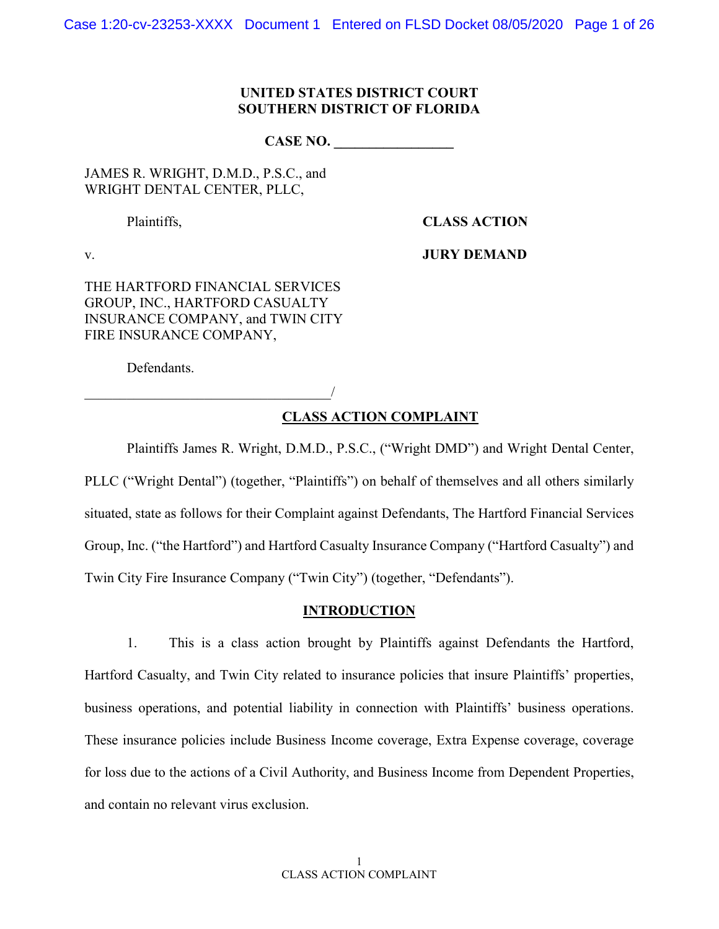Case 1:20-cv-23253-XXXX Document 1 Entered on FLSD Docket 08/05/2020 Page 1 of 26

### **UNITED STATES DISTRICT COURT SOUTHERN DISTRICT OF FLORIDA**

CASE NO.

JAMES R. WRIGHT, D.M.D., P.S.C., and WRIGHT DENTAL CENTER, PLLC,

Plaintiffs, **CLASS ACTION**

v. **JURY DEMAND**

THE HARTFORD FINANCIAL SERVICES GROUP, INC., HARTFORD CASUALTY INSURANCE COMPANY, and TWIN CITY FIRE INSURANCE COMPANY,

 $\overline{\phantom{a}}$ 

Defendants.

**CLASS ACTION COMPLAINT**

Plaintiffs James R. Wright, D.M.D., P.S.C., ("Wright DMD") and Wright Dental Center, PLLC ("Wright Dental") (together, "Plaintiffs") on behalf of themselves and all others similarly situated, state as follows for their Complaint against Defendants, The Hartford Financial Services Group, Inc. ("the Hartford") and Hartford Casualty Insurance Company ("Hartford Casualty") and Twin City Fire Insurance Company ("Twin City") (together, "Defendants").

#### **INTRODUCTION**

1. This is a class action brought by Plaintiffs against Defendants the Hartford, Hartford Casualty, and Twin City related to insurance policies that insure Plaintiffs' properties, business operations, and potential liability in connection with Plaintiffs' business operations. These insurance policies include Business Income coverage, Extra Expense coverage, coverage for loss due to the actions of a Civil Authority, and Business Income from Dependent Properties, and contain no relevant virus exclusion.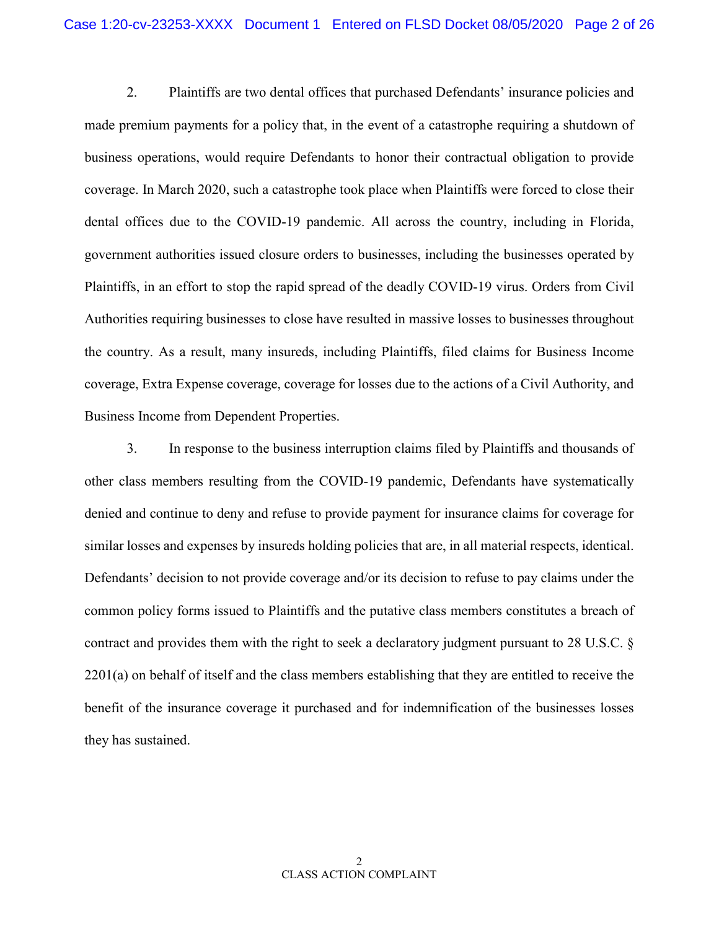2. Plaintiffs are two dental offices that purchased Defendants' insurance policies and made premium payments for a policy that, in the event of a catastrophe requiring a shutdown of business operations, would require Defendants to honor their contractual obligation to provide coverage. In March 2020, such a catastrophe took place when Plaintiffs were forced to close their dental offices due to the COVID-19 pandemic. All across the country, including in Florida, government authorities issued closure orders to businesses, including the businesses operated by Plaintiffs, in an effort to stop the rapid spread of the deadly COVID-19 virus. Orders from Civil Authorities requiring businesses to close have resulted in massive losses to businesses throughout the country. As a result, many insureds, including Plaintiffs, filed claims for Business Income coverage, Extra Expense coverage, coverage for losses due to the actions of a Civil Authority, and Business Income from Dependent Properties.

3. In response to the business interruption claims filed by Plaintiffs and thousands of other class members resulting from the COVID-19 pandemic, Defendants have systematically denied and continue to deny and refuse to provide payment for insurance claims for coverage for similar losses and expenses by insureds holding policies that are, in all material respects, identical. Defendants' decision to not provide coverage and/or its decision to refuse to pay claims under the common policy forms issued to Plaintiffs and the putative class members constitutes a breach of contract and provides them with the right to seek a declaratory judgment pursuant to 28 U.S.C. § 2201(a) on behalf of itself and the class members establishing that they are entitled to receive the benefit of the insurance coverage it purchased and for indemnification of the businesses losses they has sustained.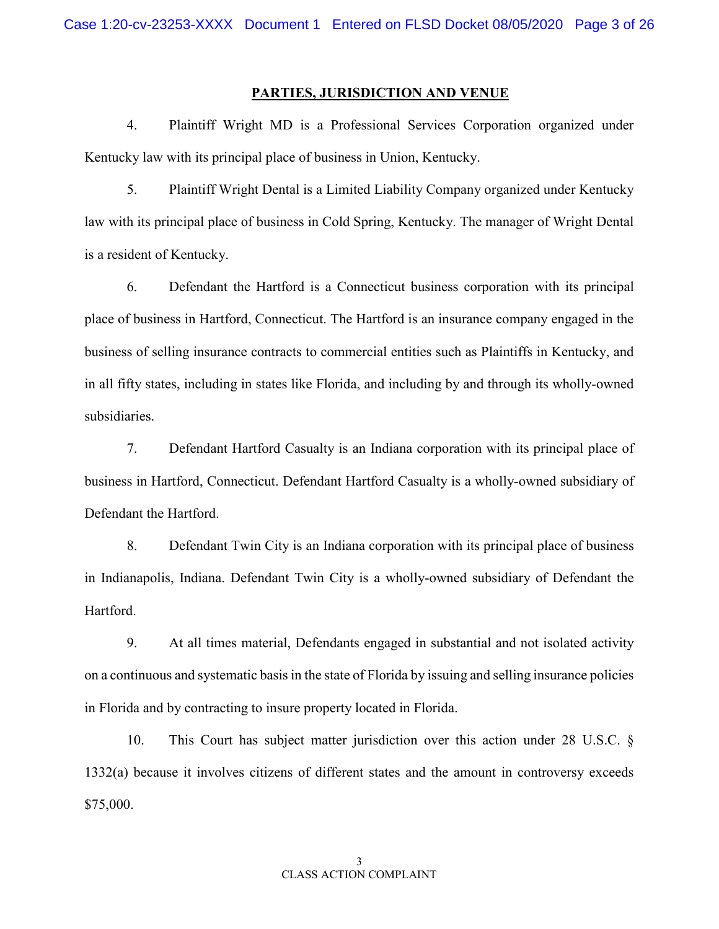#### **PARTIES, JURISDICTION AND VENUE**

4. Plaintiff Wright MD is a Professional Services Corporation organized under Kentucky law with its principal place of business in Union, Kentucky.

5. Plaintiff Wright Dental is a Limited Liability Company organized under Kentucky law with its principal place of business in Cold Spring, Kentucky. The manager of Wright Dental is a resident of Kentucky.

6. Defendant the Hartford is a Connecticut business corporation with its principal place of business in Hartford, Connecticut. The Hartford is an insurance company engaged in the business of selling insurance contracts to commercial entities such as Plaintiffs in Kentucky, and in all fifty states, including in states like Florida, and including by and through its wholly-owned subsidiaries.

7. Defendant Hartford Casualty is an Indiana corporation with its principal place of business in Hartford, Connecticut. Defendant Hartford Casualty is a wholly-owned subsidiary of Defendant the Hartford.

8. Defendant Twin City is an Indiana corporation with its principal place of business in Indianapolis, Indiana. Defendant Twin City is a wholly-owned subsidiary of Defendant the Hartford.

9. At all times material, Defendants engaged in substantial and not isolated activity on a continuous and systematic basis in the state of Florida by issuing and selling insurance policies in Florida and by contracting to insure property located in Florida.

10. This Court has subject matter jurisdiction over this action under 28 U.S.C. § 1332(a) because it involves citizens of different states and the amount in controversy exceeds \$75,000.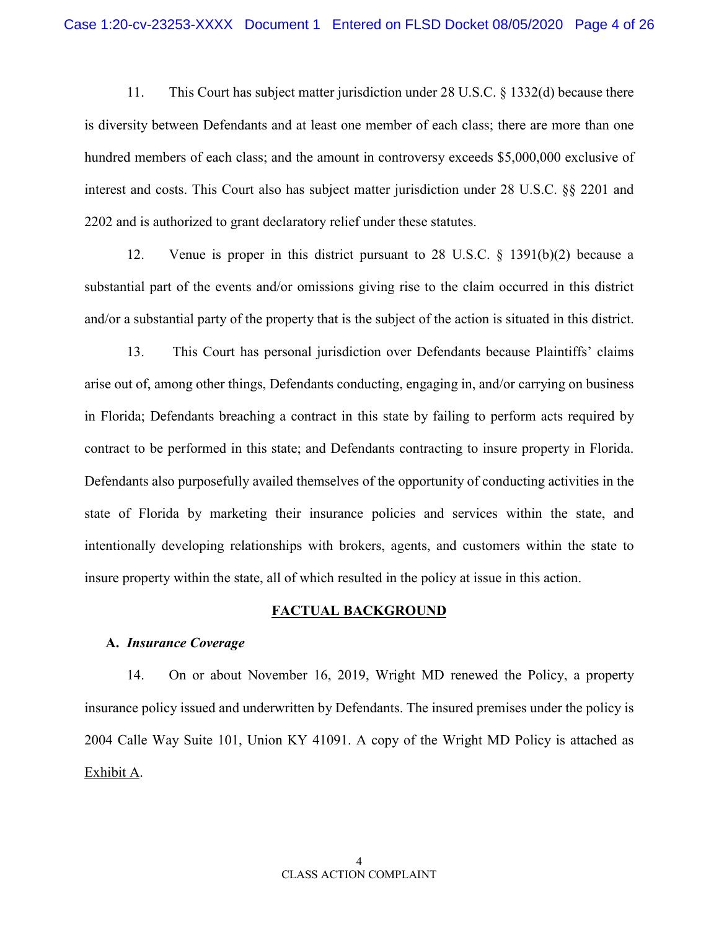11. This Court has subject matter jurisdiction under 28 U.S.C. § 1332(d) because there is diversity between Defendants and at least one member of each class; there are more than one hundred members of each class; and the amount in controversy exceeds \$5,000,000 exclusive of interest and costs. This Court also has subject matter jurisdiction under 28 U.S.C. §§ 2201 and 2202 and is authorized to grant declaratory relief under these statutes.

12. Venue is proper in this district pursuant to 28 U.S.C. § 1391(b)(2) because a substantial part of the events and/or omissions giving rise to the claim occurred in this district and/or a substantial party of the property that is the subject of the action is situated in this district.

13. This Court has personal jurisdiction over Defendants because Plaintiffs' claims arise out of, among other things, Defendants conducting, engaging in, and/or carrying on business in Florida; Defendants breaching a contract in this state by failing to perform acts required by contract to be performed in this state; and Defendants contracting to insure property in Florida. Defendants also purposefully availed themselves of the opportunity of conducting activities in the state of Florida by marketing their insurance policies and services within the state, and intentionally developing relationships with brokers, agents, and customers within the state to insure property within the state, all of which resulted in the policy at issue in this action.

#### **FACTUAL BACKGROUND**

#### **A.** *Insurance Coverage*

14. On or about November 16, 2019, Wright MD renewed the Policy, a property insurance policy issued and underwritten by Defendants. The insured premises under the policy is 2004 Calle Way Suite 101, Union KY 41091. A copy of the Wright MD Policy is attached as Exhibit A.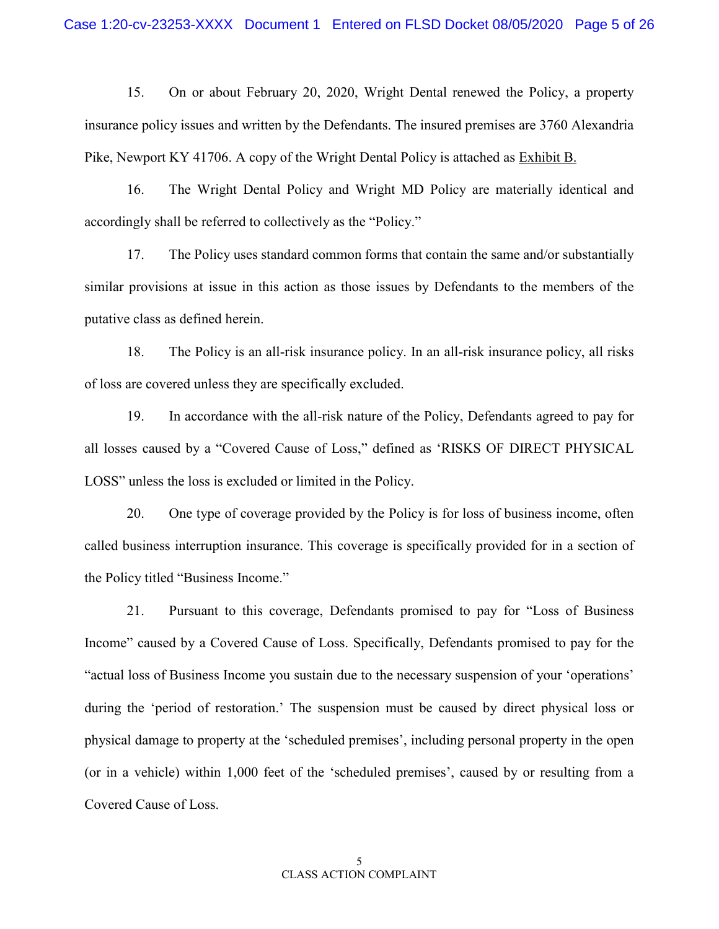15. On or about February 20, 2020, Wright Dental renewed the Policy, a property insurance policy issues and written by the Defendants. The insured premises are 3760 Alexandria Pike, Newport KY 41706. A copy of the Wright Dental Policy is attached as Exhibit B.

16. The Wright Dental Policy and Wright MD Policy are materially identical and accordingly shall be referred to collectively as the "Policy."

17. The Policy uses standard common forms that contain the same and/or substantially similar provisions at issue in this action as those issues by Defendants to the members of the putative class as defined herein.

18. The Policy is an all-risk insurance policy. In an all-risk insurance policy, all risks of loss are covered unless they are specifically excluded.

19. In accordance with the all-risk nature of the Policy, Defendants agreed to pay for all losses caused by a "Covered Cause of Loss," defined as 'RISKS OF DIRECT PHYSICAL LOSS" unless the loss is excluded or limited in the Policy.

20. One type of coverage provided by the Policy is for loss of business income, often called business interruption insurance. This coverage is specifically provided for in a section of the Policy titled "Business Income."

21. Pursuant to this coverage, Defendants promised to pay for "Loss of Business Income" caused by a Covered Cause of Loss. Specifically, Defendants promised to pay for the "actual loss of Business Income you sustain due to the necessary suspension of your 'operations' during the 'period of restoration.' The suspension must be caused by direct physical loss or physical damage to property at the 'scheduled premises', including personal property in the open (or in a vehicle) within 1,000 feet of the 'scheduled premises', caused by or resulting from a Covered Cause of Loss.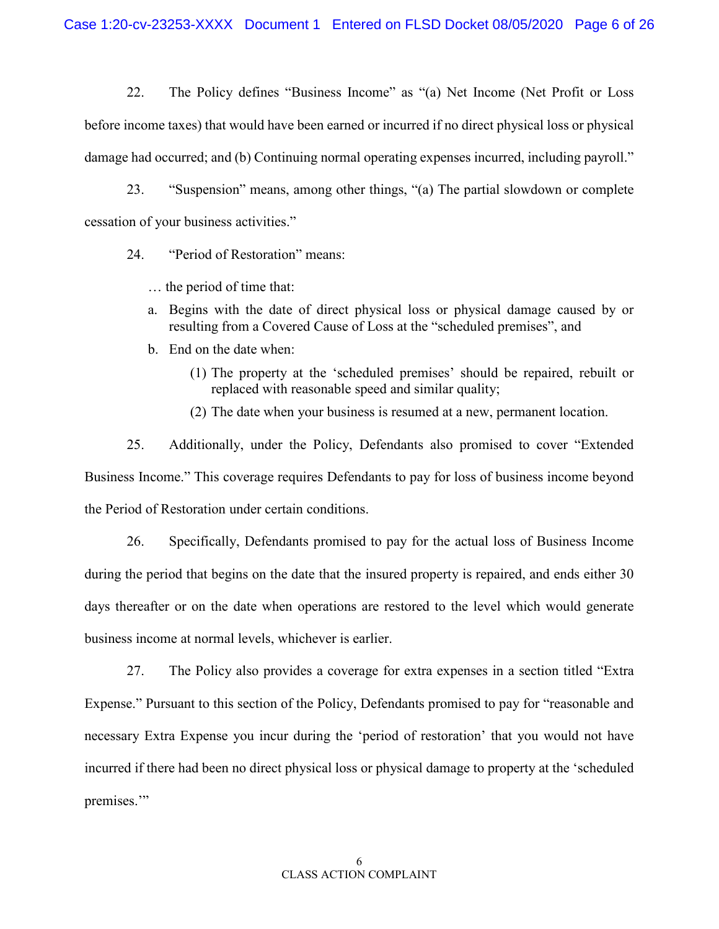22. The Policy defines "Business Income" as "(a) Net Income (Net Profit or Loss before income taxes) that would have been earned or incurred if no direct physical loss or physical damage had occurred; and (b) Continuing normal operating expenses incurred, including payroll."

23. "Suspension" means, among other things, "(a) The partial slowdown or complete cessation of your business activities."

24. "Period of Restoration" means:

… the period of time that:

- a. Begins with the date of direct physical loss or physical damage caused by or resulting from a Covered Cause of Loss at the "scheduled premises", and
- b. End on the date when:
	- (1) The property at the 'scheduled premises' should be repaired, rebuilt or replaced with reasonable speed and similar quality;
	- (2) The date when your business is resumed at a new, permanent location.

25. Additionally, under the Policy, Defendants also promised to cover "Extended Business Income." This coverage requires Defendants to pay for loss of business income beyond the Period of Restoration under certain conditions.

26. Specifically, Defendants promised to pay for the actual loss of Business Income during the period that begins on the date that the insured property is repaired, and ends either 30 days thereafter or on the date when operations are restored to the level which would generate business income at normal levels, whichever is earlier.

27. The Policy also provides a coverage for extra expenses in a section titled "Extra Expense." Pursuant to this section of the Policy, Defendants promised to pay for "reasonable and necessary Extra Expense you incur during the 'period of restoration' that you would not have incurred if there had been no direct physical loss or physical damage to property at the 'scheduled premises."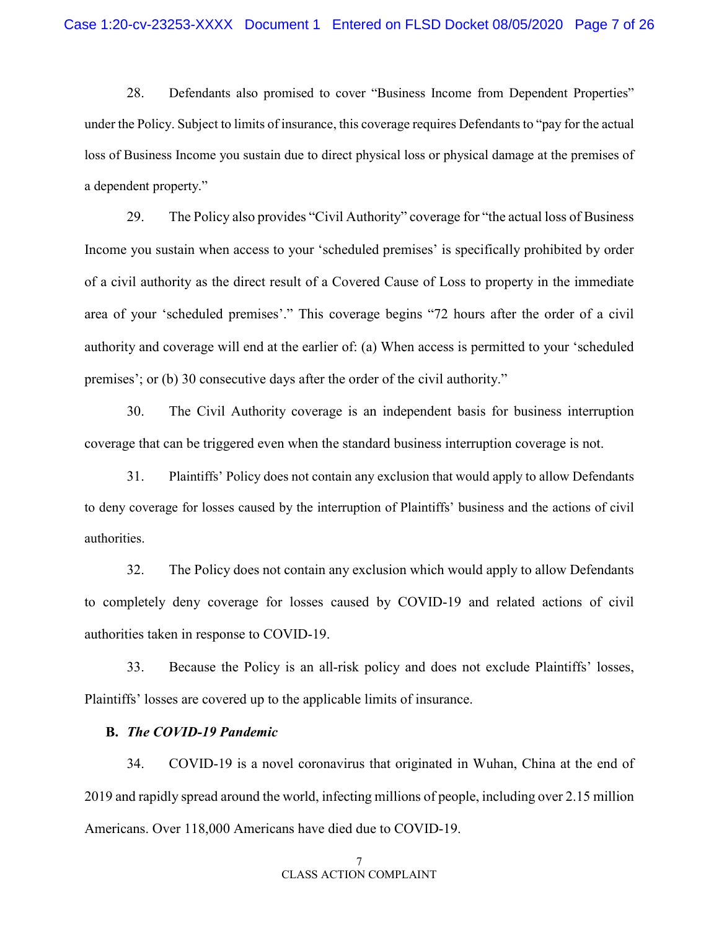28. Defendants also promised to cover "Business Income from Dependent Properties" under the Policy. Subject to limits of insurance, this coverage requires Defendants to "pay for the actual loss of Business Income you sustain due to direct physical loss or physical damage at the premises of a dependent property."

29. The Policy also provides "Civil Authority" coverage for "the actual loss of Business Income you sustain when access to your 'scheduled premises' is specifically prohibited by order of a civil authority as the direct result of a Covered Cause of Loss to property in the immediate area of your 'scheduled premises'." This coverage begins "72 hours after the order of a civil authority and coverage will end at the earlier of: (a) When access is permitted to your 'scheduled premises'; or (b) 30 consecutive days after the order of the civil authority."

30. The Civil Authority coverage is an independent basis for business interruption coverage that can be triggered even when the standard business interruption coverage is not.

31. Plaintiffs' Policy does not contain any exclusion that would apply to allow Defendants to deny coverage for losses caused by the interruption of Plaintiffs' business and the actions of civil authorities.

32. The Policy does not contain any exclusion which would apply to allow Defendants to completely deny coverage for losses caused by COVID-19 and related actions of civil authorities taken in response to COVID-19.

33. Because the Policy is an all-risk policy and does not exclude Plaintiffs' losses, Plaintiffs' losses are covered up to the applicable limits of insurance.

#### **B.** *The COVID-19 Pandemic*

34. COVID-19 is a novel coronavirus that originated in Wuhan, China at the end of 2019 and rapidly spread around the world, infecting millions of people, including over 2.15 million Americans. Over 118,000 Americans have died due to COVID-19.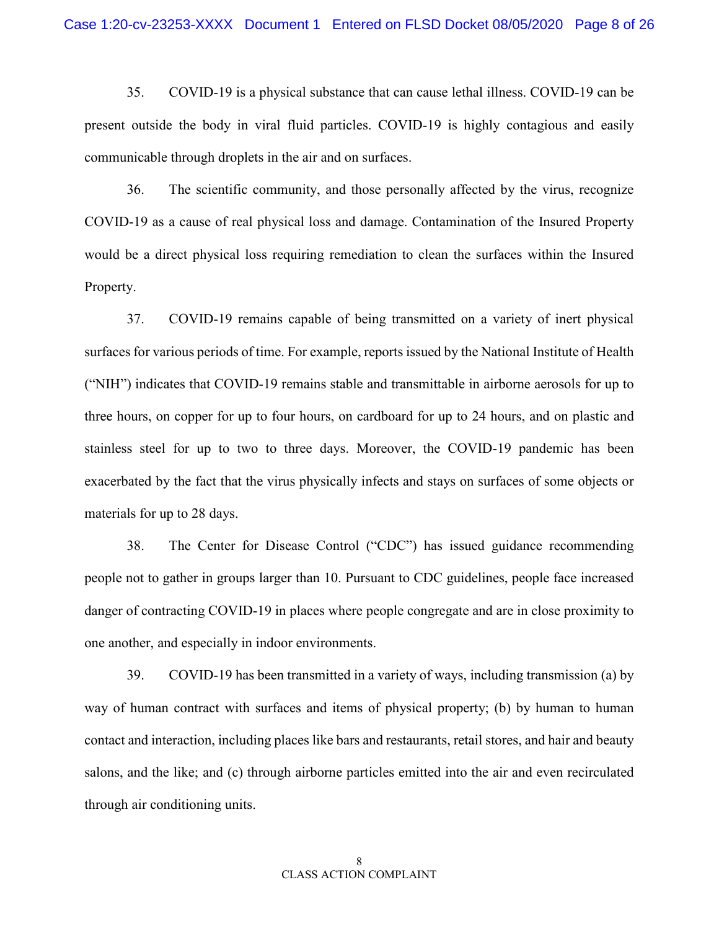35. COVID-19 is a physical substance that can cause lethal illness. COVID-19 can be present outside the body in viral fluid particles. COVID-19 is highly contagious and easily communicable through droplets in the air and on surfaces.

36. The scientific community, and those personally affected by the virus, recognize COVID-19 as a cause of real physical loss and damage. Contamination of the Insured Property would be a direct physical loss requiring remediation to clean the surfaces within the Insured Property.

37. COVID-19 remains capable of being transmitted on a variety of inert physical surfaces for various periods of time. For example, reports issued by the National Institute of Health ("NIH") indicates that COVID-19 remains stable and transmittable in airborne aerosols for up to three hours, on copper for up to four hours, on cardboard for up to 24 hours, and on plastic and stainless steel for up to two to three days. Moreover, the COVID-19 pandemic has been exacerbated by the fact that the virus physically infects and stays on surfaces of some objects or materials for up to 28 days.

38. The Center for Disease Control ("CDC") has issued guidance recommending people not to gather in groups larger than 10. Pursuant to CDC guidelines, people face increased danger of contracting COVID-19 in places where people congregate and are in close proximity to one another, and especially in indoor environments.

39. COVID-19 has been transmitted in a variety of ways, including transmission (a) by way of human contract with surfaces and items of physical property; (b) by human to human contact and interaction, including places like bars and restaurants, retail stores, and hair and beauty salons, and the like; and (c) through airborne particles emitted into the air and even recirculated through air conditioning units.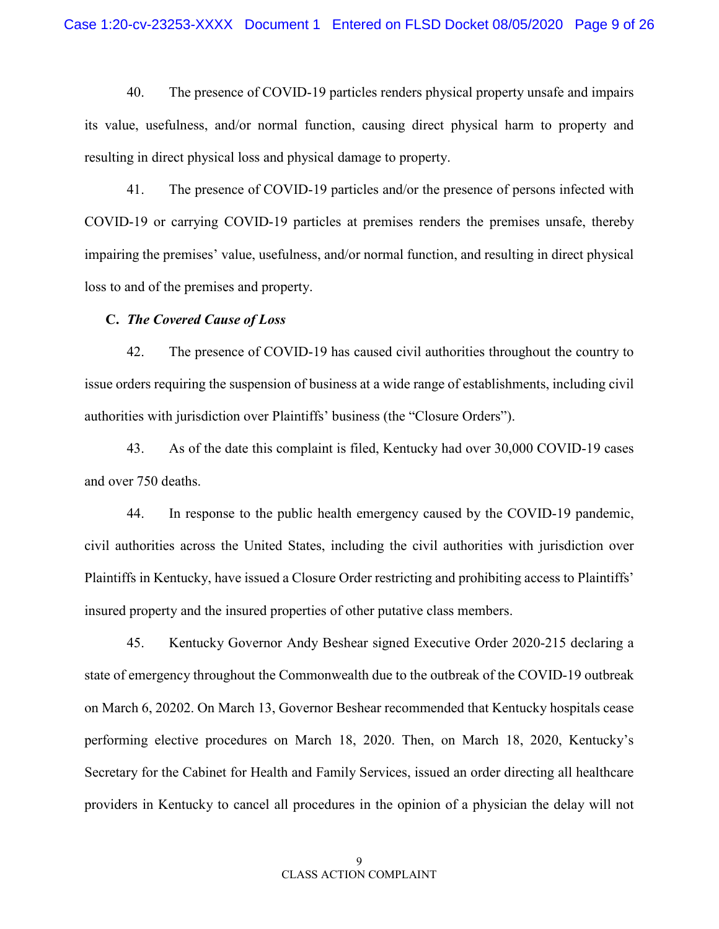40. The presence of COVID-19 particles renders physical property unsafe and impairs its value, usefulness, and/or normal function, causing direct physical harm to property and resulting in direct physical loss and physical damage to property.

41. The presence of COVID-19 particles and/or the presence of persons infected with COVID-19 or carrying COVID-19 particles at premises renders the premises unsafe, thereby impairing the premises' value, usefulness, and/or normal function, and resulting in direct physical loss to and of the premises and property.

#### **C.** *The Covered Cause of Loss*

42. The presence of COVID-19 has caused civil authorities throughout the country to issue orders requiring the suspension of business at a wide range of establishments, including civil authorities with jurisdiction over Plaintiffs' business (the "Closure Orders").

43. As of the date this complaint is filed, Kentucky had over 30,000 COVID-19 cases and over 750 deaths.

44. In response to the public health emergency caused by the COVID-19 pandemic, civil authorities across the United States, including the civil authorities with jurisdiction over Plaintiffs in Kentucky, have issued a Closure Order restricting and prohibiting access to Plaintiffs' insured property and the insured properties of other putative class members.

45. Kentucky Governor Andy Beshear signed Executive Order 2020-215 declaring a state of emergency throughout the Commonwealth due to the outbreak of the COVID-19 outbreak on March 6, 20202. On March 13, Governor Beshear recommended that Kentucky hospitals cease performing elective procedures on March 18, 2020. Then, on March 18, 2020, Kentucky's Secretary for the Cabinet for Health and Family Services, issued an order directing all healthcare providers in Kentucky to cancel all procedures in the opinion of a physician the delay will not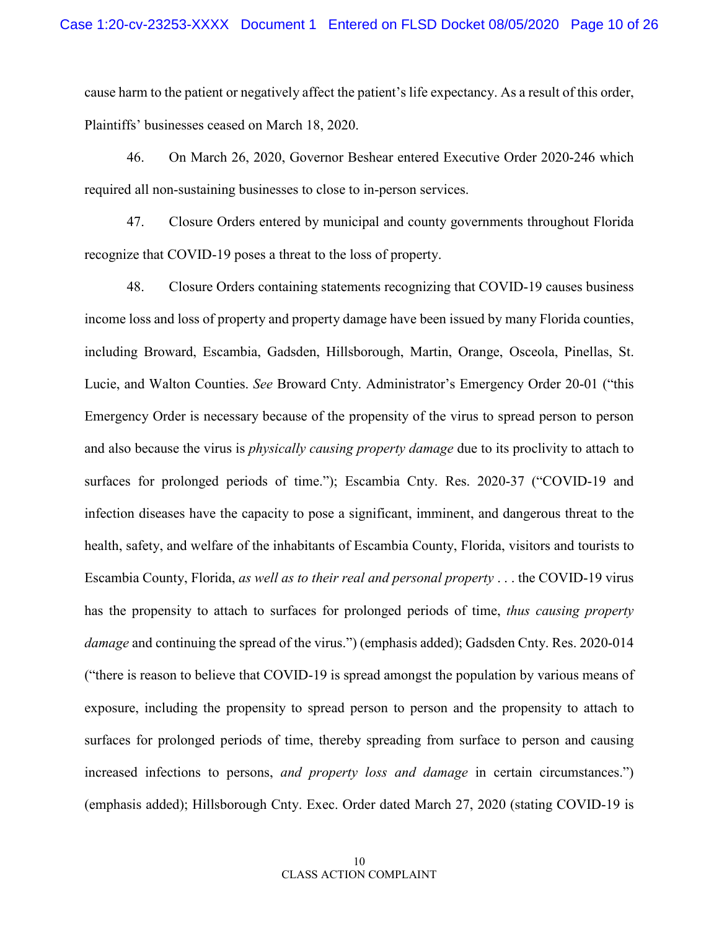cause harm to the patient or negatively affect the patient's life expectancy. As a result of this order, Plaintiffs' businesses ceased on March 18, 2020.

46. On March 26, 2020, Governor Beshear entered Executive Order 2020-246 which required all non-sustaining businesses to close to in-person services.

47. Closure Orders entered by municipal and county governments throughout Florida recognize that COVID-19 poses a threat to the loss of property.

48. Closure Orders containing statements recognizing that COVID-19 causes business income loss and loss of property and property damage have been issued by many Florida counties, including Broward, Escambia, Gadsden, Hillsborough, Martin, Orange, Osceola, Pinellas, St. Lucie, and Walton Counties. *See* Broward Cnty. Administrator's Emergency Order 20-01 ("this Emergency Order is necessary because of the propensity of the virus to spread person to person and also because the virus is *physically causing property damage* due to its proclivity to attach to surfaces for prolonged periods of time."); Escambia Cnty. Res. 2020-37 ("COVID-19 and infection diseases have the capacity to pose a significant, imminent, and dangerous threat to the health, safety, and welfare of the inhabitants of Escambia County, Florida, visitors and tourists to Escambia County, Florida, *as well as to their real and personal property* . . . the COVID-19 virus has the propensity to attach to surfaces for prolonged periods of time, *thus causing property damage* and continuing the spread of the virus.") (emphasis added); Gadsden Cnty. Res. 2020-014 ("there is reason to believe that COVID-19 is spread amongst the population by various means of exposure, including the propensity to spread person to person and the propensity to attach to surfaces for prolonged periods of time, thereby spreading from surface to person and causing increased infections to persons, *and property loss and damage* in certain circumstances.") (emphasis added); Hillsborough Cnty. Exec. Order dated March 27, 2020 (stating COVID-19 is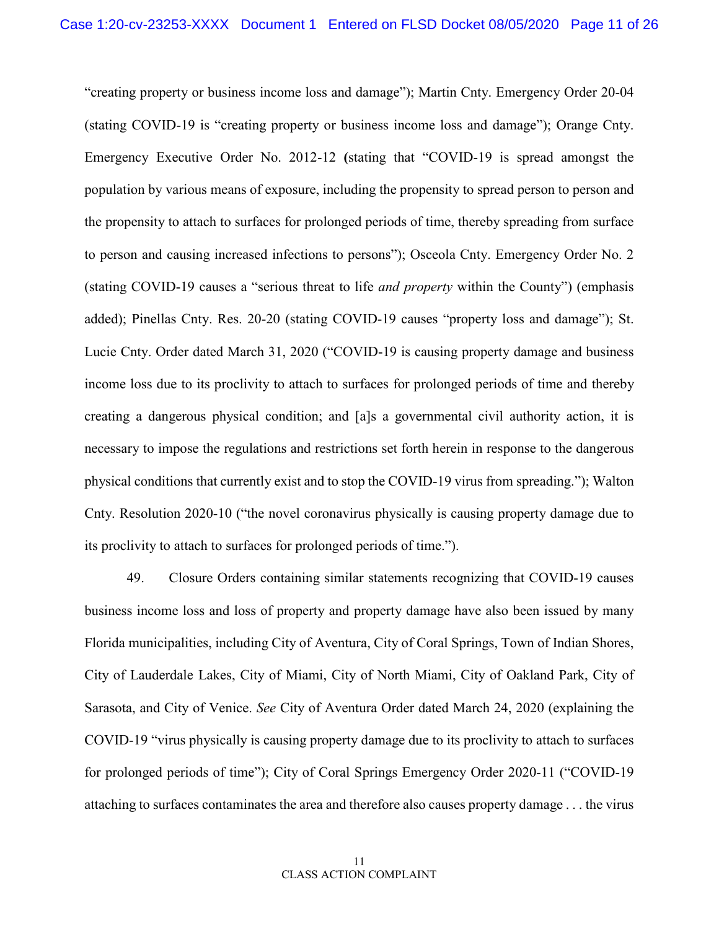"creating property or business income loss and damage"); Martin Cnty. Emergency Order 20-04 (stating COVID-19 is "creating property or business income loss and damage"); Orange Cnty. Emergency Executive Order No. 2012-12 **(**stating that "COVID-19 is spread amongst the population by various means of exposure, including the propensity to spread person to person and the propensity to attach to surfaces for prolonged periods of time, thereby spreading from surface to person and causing increased infections to persons"); Osceola Cnty. Emergency Order No. 2 (stating COVID-19 causes a "serious threat to life *and property* within the County") (emphasis added); Pinellas Cnty. Res. 20-20 (stating COVID-19 causes "property loss and damage"); St. Lucie Cnty. Order dated March 31, 2020 ("COVID-19 is causing property damage and business income loss due to its proclivity to attach to surfaces for prolonged periods of time and thereby creating a dangerous physical condition; and [a]s a governmental civil authority action, it is necessary to impose the regulations and restrictions set forth herein in response to the dangerous physical conditions that currently exist and to stop the COVID-19 virus from spreading."); Walton Cnty. Resolution 2020-10 ("the novel coronavirus physically is causing property damage due to its proclivity to attach to surfaces for prolonged periods of time.").

49. Closure Orders containing similar statements recognizing that COVID-19 causes business income loss and loss of property and property damage have also been issued by many Florida municipalities, including City of Aventura, City of Coral Springs, Town of Indian Shores, City of Lauderdale Lakes, City of Miami, City of North Miami, City of Oakland Park, City of Sarasota, and City of Venice. *See* City of Aventura Order dated March 24, 2020 (explaining the COVID-19 "virus physically is causing property damage due to its proclivity to attach to surfaces for prolonged periods of time"); City of Coral Springs Emergency Order 2020-11 ("COVID-19 attaching to surfaces contaminates the area and therefore also causes property damage . . . the virus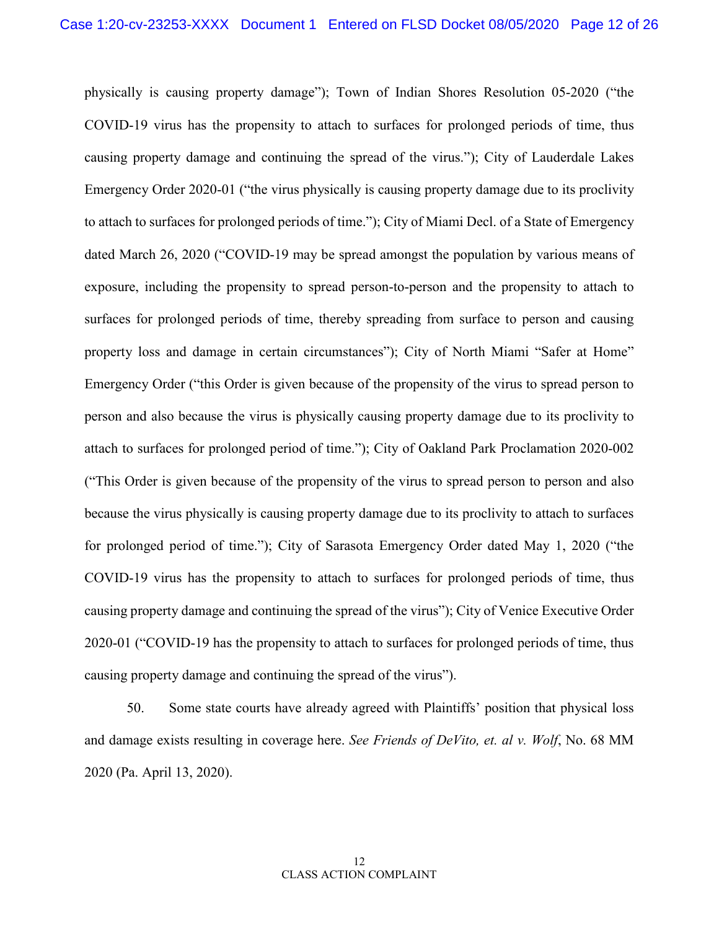physically is causing property damage"); Town of Indian Shores Resolution 05-2020 ("the COVID-19 virus has the propensity to attach to surfaces for prolonged periods of time, thus causing property damage and continuing the spread of the virus."); City of Lauderdale Lakes Emergency Order 2020-01 ("the virus physically is causing property damage due to its proclivity to attach to surfaces for prolonged periods of time."); City of Miami Decl. of a State of Emergency dated March 26, 2020 ("COVID-19 may be spread amongst the population by various means of exposure, including the propensity to spread person-to-person and the propensity to attach to surfaces for prolonged periods of time, thereby spreading from surface to person and causing property loss and damage in certain circumstances"); City of North Miami "Safer at Home" Emergency Order ("this Order is given because of the propensity of the virus to spread person to person and also because the virus is physically causing property damage due to its proclivity to attach to surfaces for prolonged period of time."); City of Oakland Park Proclamation 2020-002 ("This Order is given because of the propensity of the virus to spread person to person and also because the virus physically is causing property damage due to its proclivity to attach to surfaces for prolonged period of time."); City of Sarasota Emergency Order dated May 1, 2020 ("the COVID-19 virus has the propensity to attach to surfaces for prolonged periods of time, thus causing property damage and continuing the spread of the virus"); City of Venice Executive Order 2020-01 ("COVID-19 has the propensity to attach to surfaces for prolonged periods of time, thus causing property damage and continuing the spread of the virus").

50. Some state courts have already agreed with Plaintiffs' position that physical loss and damage exists resulting in coverage here. *See Friends of DeVito, et. al v. Wolf*, No. 68 MM 2020 (Pa. April 13, 2020).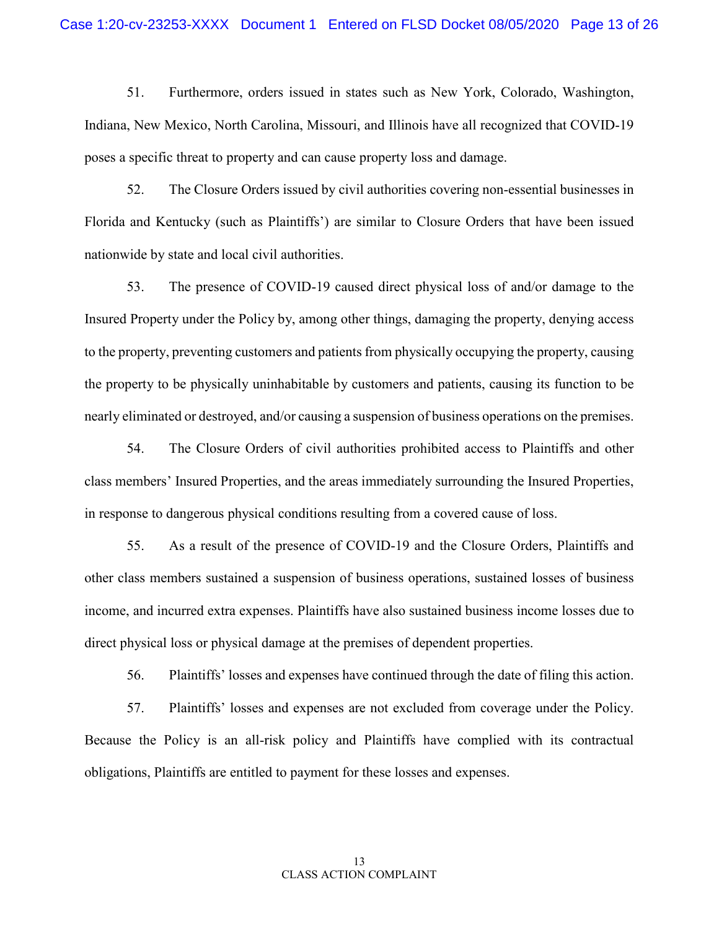51. Furthermore, orders issued in states such as New York, Colorado, Washington, Indiana, New Mexico, North Carolina, Missouri, and Illinois have all recognized that COVID-19 poses a specific threat to property and can cause property loss and damage.

52. The Closure Orders issued by civil authorities covering non-essential businesses in Florida and Kentucky (such as Plaintiffs') are similar to Closure Orders that have been issued nationwide by state and local civil authorities.

53. The presence of COVID-19 caused direct physical loss of and/or damage to the Insured Property under the Policy by, among other things, damaging the property, denying access to the property, preventing customers and patients from physically occupying the property, causing the property to be physically uninhabitable by customers and patients, causing its function to be nearly eliminated or destroyed, and/or causing a suspension of business operations on the premises.

54. The Closure Orders of civil authorities prohibited access to Plaintiffs and other class members' Insured Properties, and the areas immediately surrounding the Insured Properties, in response to dangerous physical conditions resulting from a covered cause of loss.

55. As a result of the presence of COVID-19 and the Closure Orders, Plaintiffs and other class members sustained a suspension of business operations, sustained losses of business income, and incurred extra expenses. Plaintiffs have also sustained business income losses due to direct physical loss or physical damage at the premises of dependent properties.

56. Plaintiffs' losses and expenses have continued through the date of filing this action.

57. Plaintiffs' losses and expenses are not excluded from coverage under the Policy. Because the Policy is an all-risk policy and Plaintiffs have complied with its contractual obligations, Plaintiffs are entitled to payment for these losses and expenses.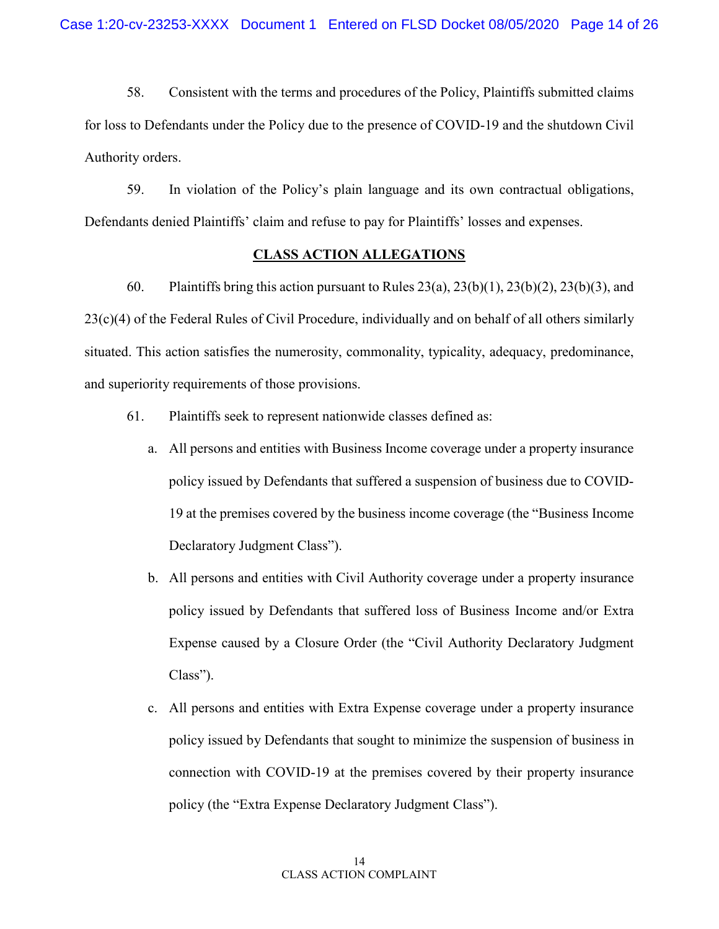58. Consistent with the terms and procedures of the Policy, Plaintiffs submitted claims for loss to Defendants under the Policy due to the presence of COVID-19 and the shutdown Civil Authority orders.

59. In violation of the Policy's plain language and its own contractual obligations, Defendants denied Plaintiffs' claim and refuse to pay for Plaintiffs' losses and expenses.

### **CLASS ACTION ALLEGATIONS**

60. Plaintiffs bring this action pursuant to Rules  $23(a)$ ,  $23(b)(1)$ ,  $23(b)(2)$ ,  $23(b)(3)$ , and 23(c)(4) of the Federal Rules of Civil Procedure, individually and on behalf of all others similarly situated. This action satisfies the numerosity, commonality, typicality, adequacy, predominance, and superiority requirements of those provisions.

- 61. Plaintiffs seek to represent nationwide classes defined as:
	- a. All persons and entities with Business Income coverage under a property insurance policy issued by Defendants that suffered a suspension of business due to COVID-19 at the premises covered by the business income coverage (the "Business Income Declaratory Judgment Class").
	- b. All persons and entities with Civil Authority coverage under a property insurance policy issued by Defendants that suffered loss of Business Income and/or Extra Expense caused by a Closure Order (the "Civil Authority Declaratory Judgment Class").
	- c. All persons and entities with Extra Expense coverage under a property insurance policy issued by Defendants that sought to minimize the suspension of business in connection with COVID-19 at the premises covered by their property insurance policy (the "Extra Expense Declaratory Judgment Class").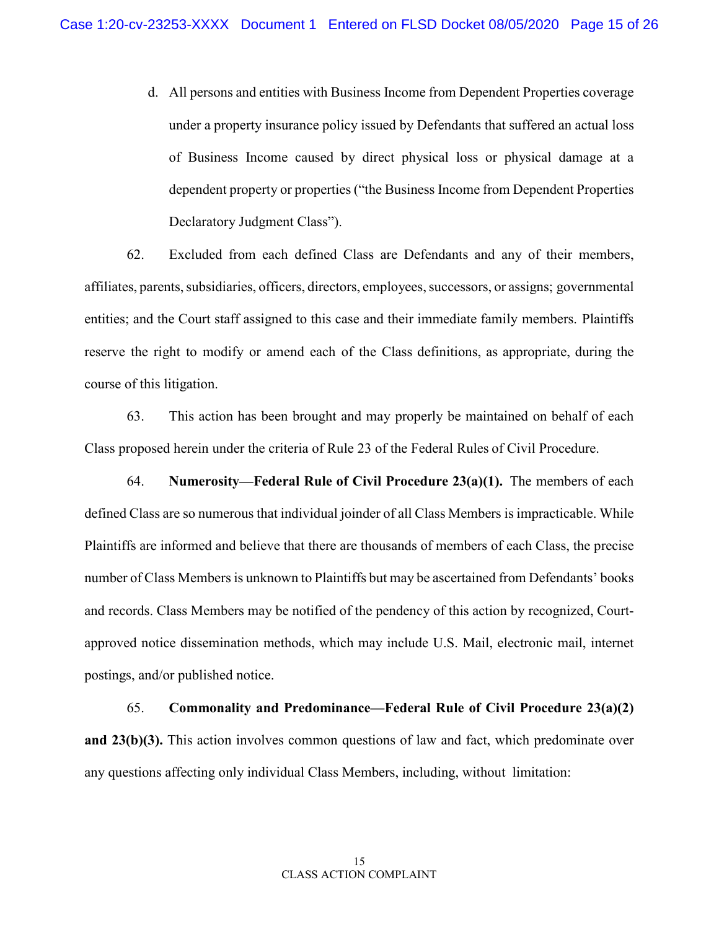d. All persons and entities with Business Income from Dependent Properties coverage under a property insurance policy issued by Defendants that suffered an actual loss of Business Income caused by direct physical loss or physical damage at a dependent property or properties ("the Business Income from Dependent Properties Declaratory Judgment Class").

62. Excluded from each defined Class are Defendants and any of their members, affiliates, parents, subsidiaries, officers, directors, employees, successors, or assigns; governmental entities; and the Court staff assigned to this case and their immediate family members. Plaintiffs reserve the right to modify or amend each of the Class definitions, as appropriate, during the course of this litigation.

63. This action has been brought and may properly be maintained on behalf of each Class proposed herein under the criteria of Rule 23 of the Federal Rules of Civil Procedure.

64. **Numerosity—Federal Rule of Civil Procedure 23(a)(1).** The members of each defined Class are so numerous that individual joinder of all Class Members is impracticable. While Plaintiffs are informed and believe that there are thousands of members of each Class, the precise number of Class Members is unknown to Plaintiffs but may be ascertained from Defendants' books and records. Class Members may be notified of the pendency of this action by recognized, Courtapproved notice dissemination methods, which may include U.S. Mail, electronic mail, internet postings, and/or published notice.

65. **Commonality and Predominance—Federal Rule of Civil Procedure 23(a)(2) and 23(b)(3).** This action involves common questions of law and fact, which predominate over any questions affecting only individual Class Members, including, without limitation: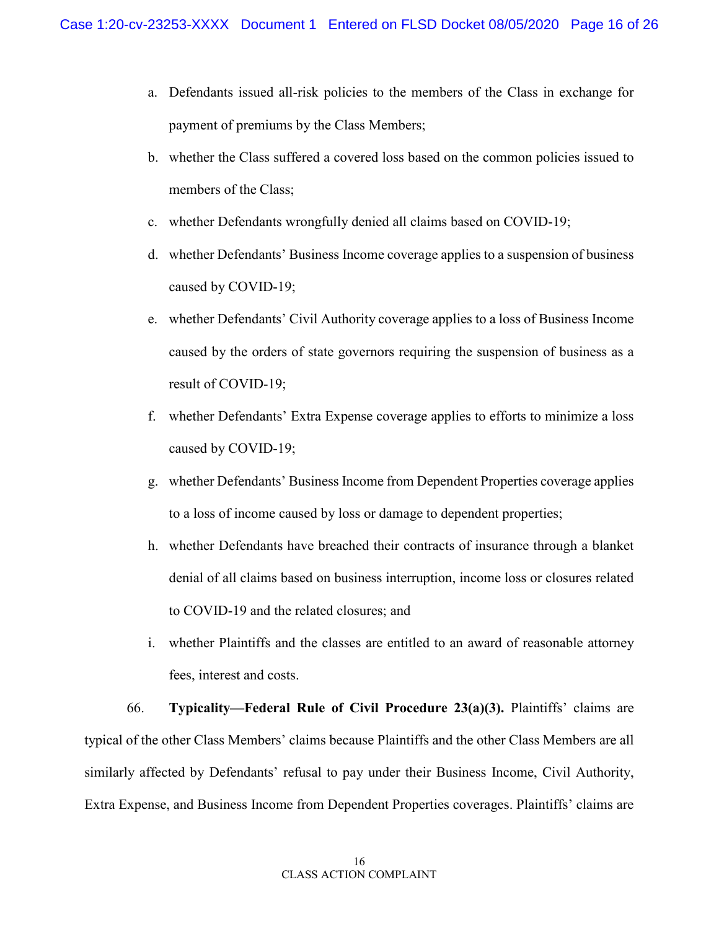- a. Defendants issued all-risk policies to the members of the Class in exchange for payment of premiums by the Class Members;
- b. whether the Class suffered a covered loss based on the common policies issued to members of the Class;
- c. whether Defendants wrongfully denied all claims based on COVID-19;
- d. whether Defendants' Business Income coverage applies to a suspension of business caused by COVID-19;
- e. whether Defendants' Civil Authority coverage applies to a loss of Business Income caused by the orders of state governors requiring the suspension of business as a result of COVID-19;
- f. whether Defendants' Extra Expense coverage applies to efforts to minimize a loss caused by COVID-19;
- g. whether Defendants' Business Income from Dependent Properties coverage applies to a loss of income caused by loss or damage to dependent properties;
- h. whether Defendants have breached their contracts of insurance through a blanket denial of all claims based on business interruption, income loss or closures related to COVID-19 and the related closures; and
- i. whether Plaintiffs and the classes are entitled to an award of reasonable attorney fees, interest and costs.

66. **Typicality—Federal Rule of Civil Procedure 23(a)(3).** Plaintiffs' claims are typical of the other Class Members' claims because Plaintiffs and the other Class Members are all similarly affected by Defendants' refusal to pay under their Business Income, Civil Authority, Extra Expense, and Business Income from Dependent Properties coverages. Plaintiffs' claims are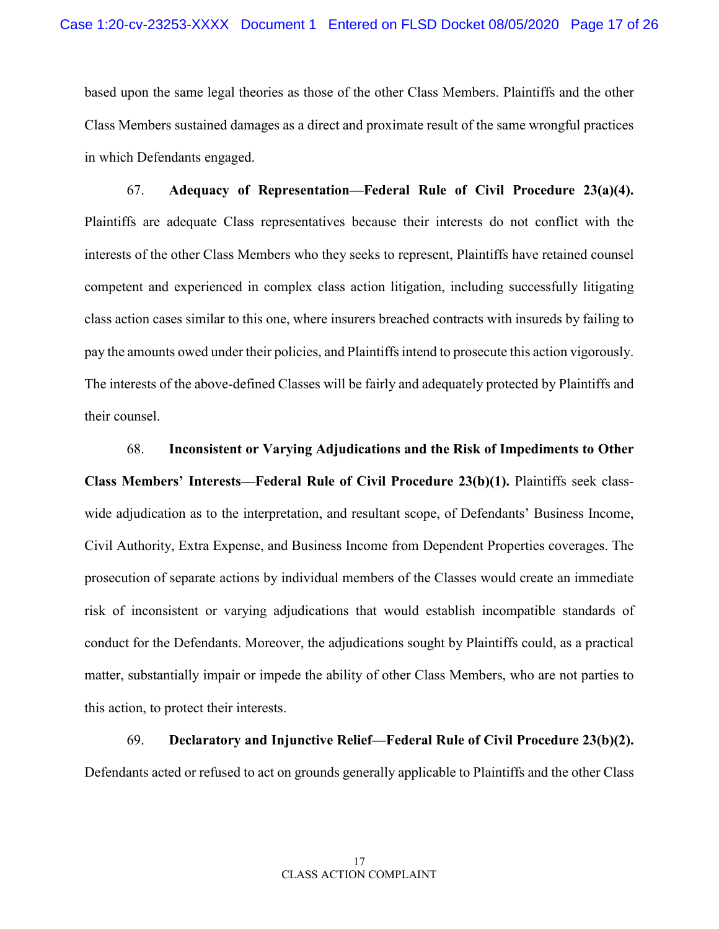based upon the same legal theories as those of the other Class Members. Plaintiffs and the other Class Members sustained damages as a direct and proximate result of the same wrongful practices in which Defendants engaged.

67. **Adequacy of Representation—Federal Rule of Civil Procedure 23(a)(4).**  Plaintiffs are adequate Class representatives because their interests do not conflict with the interests of the other Class Members who they seeks to represent, Plaintiffs have retained counsel competent and experienced in complex class action litigation, including successfully litigating class action cases similar to this one, where insurers breached contracts with insureds by failing to pay the amounts owed under their policies, and Plaintiffs intend to prosecute this action vigorously. The interests of the above-defined Classes will be fairly and adequately protected by Plaintiffs and their counsel.

68. **Inconsistent or Varying Adjudications and the Risk of Impediments to Other Class Members' Interests—Federal Rule of Civil Procedure 23(b)(1).** Plaintiffs seek classwide adjudication as to the interpretation, and resultant scope, of Defendants' Business Income, Civil Authority, Extra Expense, and Business Income from Dependent Properties coverages. The prosecution of separate actions by individual members of the Classes would create an immediate risk of inconsistent or varying adjudications that would establish incompatible standards of conduct for the Defendants. Moreover, the adjudications sought by Plaintiffs could, as a practical matter, substantially impair or impede the ability of other Class Members, who are not parties to this action, to protect their interests.

69. **Declaratory and Injunctive Relief—Federal Rule of Civil Procedure 23(b)(2).**  Defendants acted or refused to act on grounds generally applicable to Plaintiffs and the other Class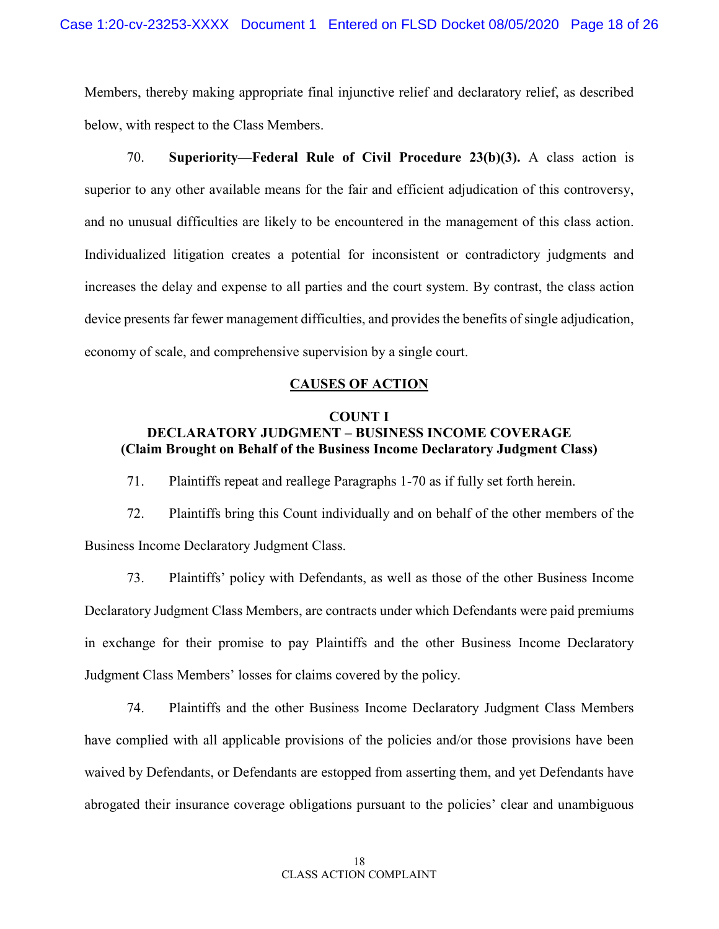Members, thereby making appropriate final injunctive relief and declaratory relief, as described below, with respect to the Class Members.

70. **Superiority—Federal Rule of Civil Procedure 23(b)(3).** A class action is superior to any other available means for the fair and efficient adjudication of this controversy, and no unusual difficulties are likely to be encountered in the management of this class action. Individualized litigation creates a potential for inconsistent or contradictory judgments and increases the delay and expense to all parties and the court system. By contrast, the class action device presents far fewer management difficulties, and provides the benefits of single adjudication, economy of scale, and comprehensive supervision by a single court.

# **CAUSES OF ACTION**

#### **COUNT I**

# **DECLARATORY JUDGMENT – BUSINESS INCOME COVERAGE (Claim Brought on Behalf of the Business Income Declaratory Judgment Class)**

71. Plaintiffs repeat and reallege Paragraphs 1-70 as if fully set forth herein.

72. Plaintiffs bring this Count individually and on behalf of the other members of the Business Income Declaratory Judgment Class.

73. Plaintiffs' policy with Defendants, as well as those of the other Business Income Declaratory Judgment Class Members, are contracts under which Defendants were paid premiums in exchange for their promise to pay Plaintiffs and the other Business Income Declaratory Judgment Class Members' losses for claims covered by the policy.

74. Plaintiffs and the other Business Income Declaratory Judgment Class Members have complied with all applicable provisions of the policies and/or those provisions have been waived by Defendants, or Defendants are estopped from asserting them, and yet Defendants have abrogated their insurance coverage obligations pursuant to the policies' clear and unambiguous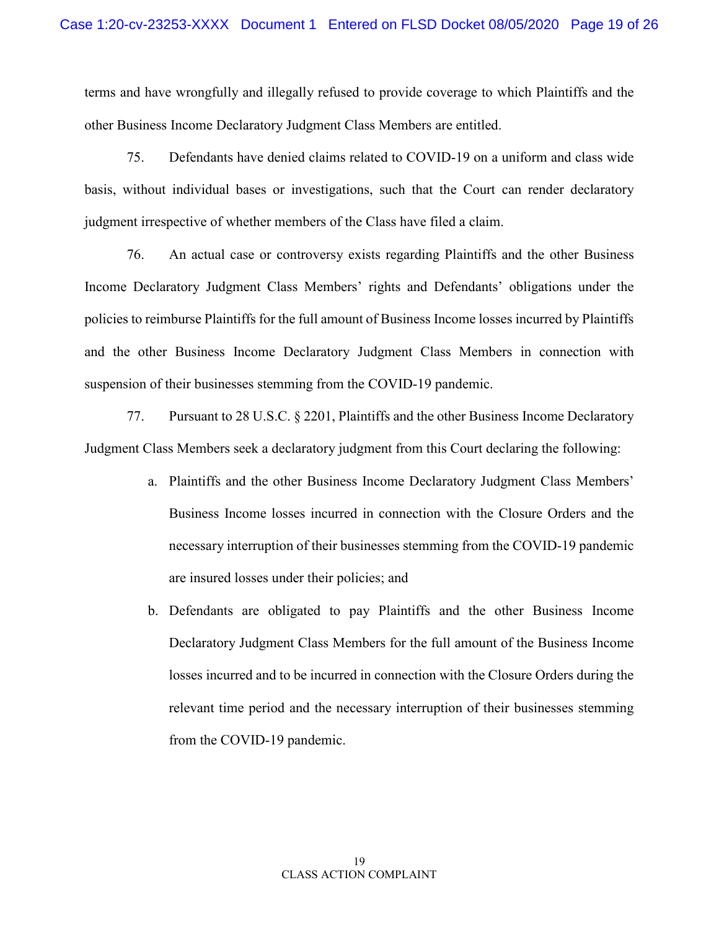terms and have wrongfully and illegally refused to provide coverage to which Plaintiffs and the other Business Income Declaratory Judgment Class Members are entitled.

75. Defendants have denied claims related to COVID-19 on a uniform and class wide basis, without individual bases or investigations, such that the Court can render declaratory judgment irrespective of whether members of the Class have filed a claim.

76. An actual case or controversy exists regarding Plaintiffs and the other Business Income Declaratory Judgment Class Members' rights and Defendants' obligations under the policies to reimburse Plaintiffs for the full amount of Business Income losses incurred by Plaintiffs and the other Business Income Declaratory Judgment Class Members in connection with suspension of their businesses stemming from the COVID-19 pandemic.

77. Pursuant to 28 U.S.C. § 2201, Plaintiffs and the other Business Income Declaratory Judgment Class Members seek a declaratory judgment from this Court declaring the following:

- a. Plaintiffs and the other Business Income Declaratory Judgment Class Members' Business Income losses incurred in connection with the Closure Orders and the necessary interruption of their businesses stemming from the COVID-19 pandemic are insured losses under their policies; and
- b. Defendants are obligated to pay Plaintiffs and the other Business Income Declaratory Judgment Class Members for the full amount of the Business Income losses incurred and to be incurred in connection with the Closure Orders during the relevant time period and the necessary interruption of their businesses stemming from the COVID-19 pandemic.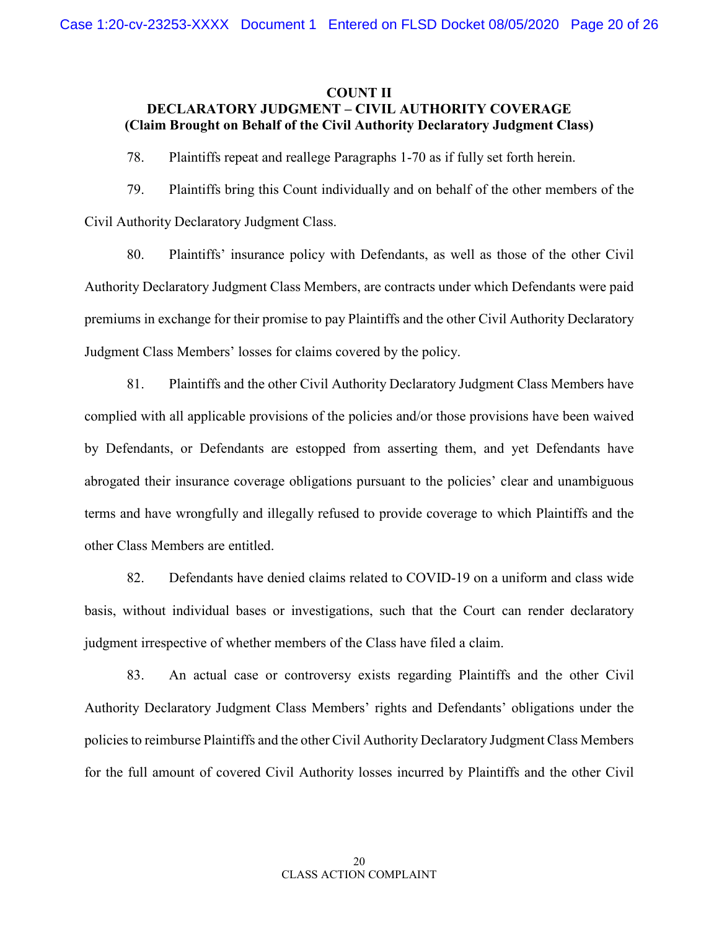#### **COUNT II**

# **DECLARATORY JUDGMENT – CIVIL AUTHORITY COVERAGE (Claim Brought on Behalf of the Civil Authority Declaratory Judgment Class)**

78. Plaintiffs repeat and reallege Paragraphs 1-70 as if fully set forth herein.

79. Plaintiffs bring this Count individually and on behalf of the other members of the Civil Authority Declaratory Judgment Class.

80. Plaintiffs' insurance policy with Defendants, as well as those of the other Civil Authority Declaratory Judgment Class Members, are contracts under which Defendants were paid premiums in exchange for their promise to pay Plaintiffs and the other Civil Authority Declaratory Judgment Class Members' losses for claims covered by the policy.

81. Plaintiffs and the other Civil Authority Declaratory Judgment Class Members have complied with all applicable provisions of the policies and/or those provisions have been waived by Defendants, or Defendants are estopped from asserting them, and yet Defendants have abrogated their insurance coverage obligations pursuant to the policies' clear and unambiguous terms and have wrongfully and illegally refused to provide coverage to which Plaintiffs and the other Class Members are entitled.

82. Defendants have denied claims related to COVID-19 on a uniform and class wide basis, without individual bases or investigations, such that the Court can render declaratory judgment irrespective of whether members of the Class have filed a claim.

83. An actual case or controversy exists regarding Plaintiffs and the other Civil Authority Declaratory Judgment Class Members' rights and Defendants' obligations under the policies to reimburse Plaintiffs and the other Civil Authority Declaratory Judgment Class Members for the full amount of covered Civil Authority losses incurred by Plaintiffs and the other Civil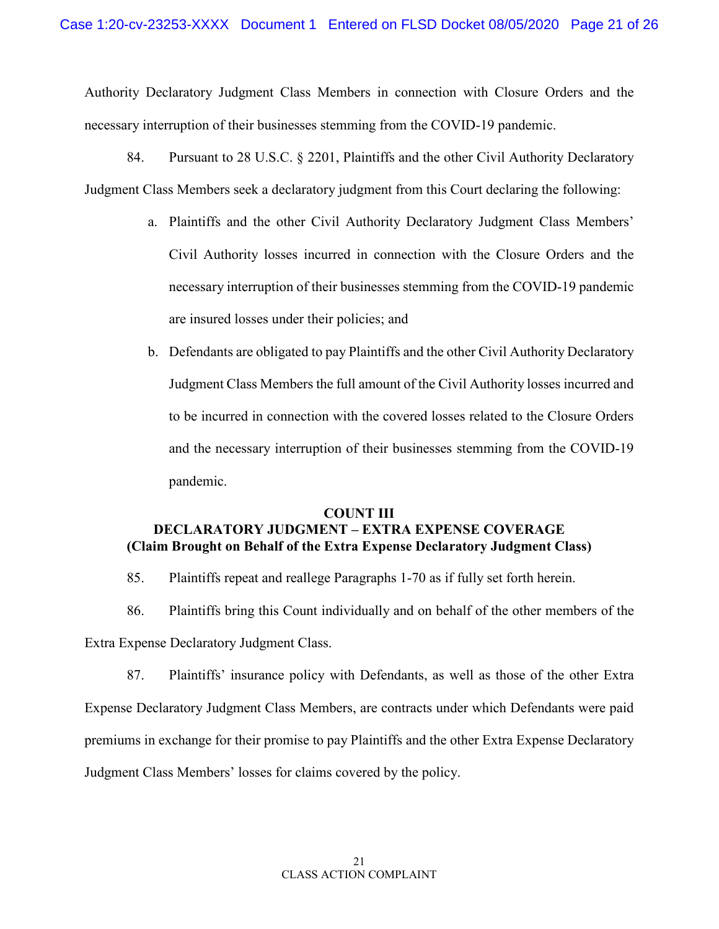Authority Declaratory Judgment Class Members in connection with Closure Orders and the necessary interruption of their businesses stemming from the COVID-19 pandemic.

- 84. Pursuant to 28 U.S.C. § 2201, Plaintiffs and the other Civil Authority Declaratory Judgment Class Members seek a declaratory judgment from this Court declaring the following:
	- a. Plaintiffs and the other Civil Authority Declaratory Judgment Class Members' Civil Authority losses incurred in connection with the Closure Orders and the necessary interruption of their businesses stemming from the COVID-19 pandemic are insured losses under their policies; and
	- b. Defendants are obligated to pay Plaintiffs and the other Civil Authority Declaratory Judgment Class Members the full amount of the Civil Authority losses incurred and to be incurred in connection with the covered losses related to the Closure Orders and the necessary interruption of their businesses stemming from the COVID-19 pandemic.

#### **COUNT III**

# **DECLARATORY JUDGMENT – EXTRA EXPENSE COVERAGE (Claim Brought on Behalf of the Extra Expense Declaratory Judgment Class)**

- 85. Plaintiffs repeat and reallege Paragraphs 1-70 as if fully set forth herein.
- 86. Plaintiffs bring this Count individually and on behalf of the other members of the Extra Expense Declaratory Judgment Class.

87. Plaintiffs' insurance policy with Defendants, as well as those of the other Extra Expense Declaratory Judgment Class Members, are contracts under which Defendants were paid premiums in exchange for their promise to pay Plaintiffs and the other Extra Expense Declaratory Judgment Class Members' losses for claims covered by the policy.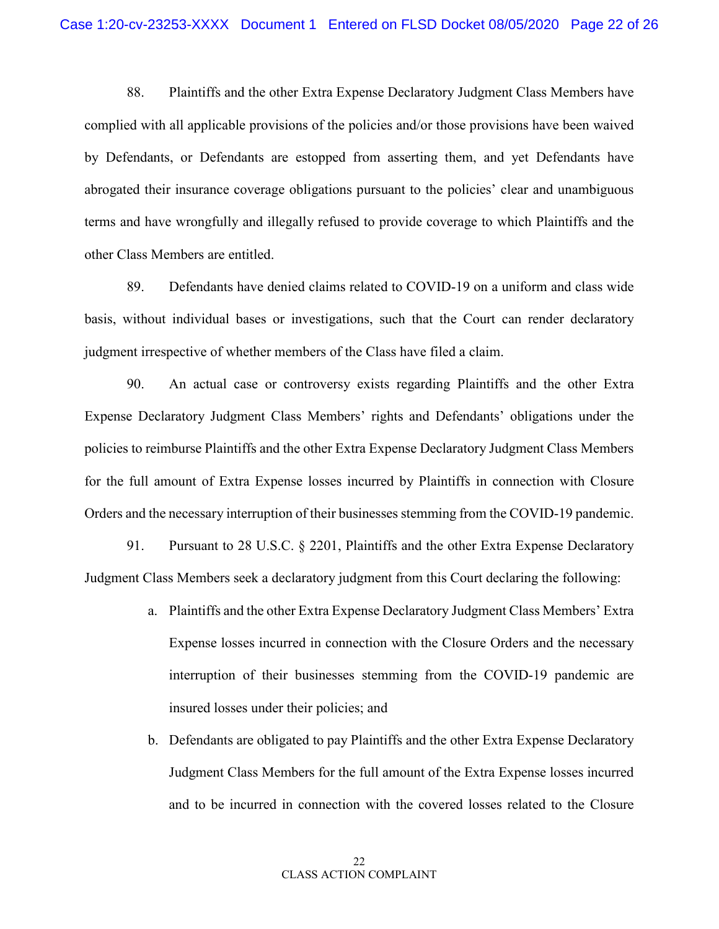88. Plaintiffs and the other Extra Expense Declaratory Judgment Class Members have complied with all applicable provisions of the policies and/or those provisions have been waived by Defendants, or Defendants are estopped from asserting them, and yet Defendants have abrogated their insurance coverage obligations pursuant to the policies' clear and unambiguous terms and have wrongfully and illegally refused to provide coverage to which Plaintiffs and the other Class Members are entitled.

89. Defendants have denied claims related to COVID-19 on a uniform and class wide basis, without individual bases or investigations, such that the Court can render declaratory judgment irrespective of whether members of the Class have filed a claim.

90. An actual case or controversy exists regarding Plaintiffs and the other Extra Expense Declaratory Judgment Class Members' rights and Defendants' obligations under the policies to reimburse Plaintiffs and the other Extra Expense Declaratory Judgment Class Members for the full amount of Extra Expense losses incurred by Plaintiffs in connection with Closure Orders and the necessary interruption of their businesses stemming from the COVID-19 pandemic.

91. Pursuant to 28 U.S.C. § 2201, Plaintiffs and the other Extra Expense Declaratory Judgment Class Members seek a declaratory judgment from this Court declaring the following:

- a. Plaintiffs and the other Extra Expense Declaratory Judgment Class Members' Extra Expense losses incurred in connection with the Closure Orders and the necessary interruption of their businesses stemming from the COVID-19 pandemic are insured losses under their policies; and
- b. Defendants are obligated to pay Plaintiffs and the other Extra Expense Declaratory Judgment Class Members for the full amount of the Extra Expense losses incurred and to be incurred in connection with the covered losses related to the Closure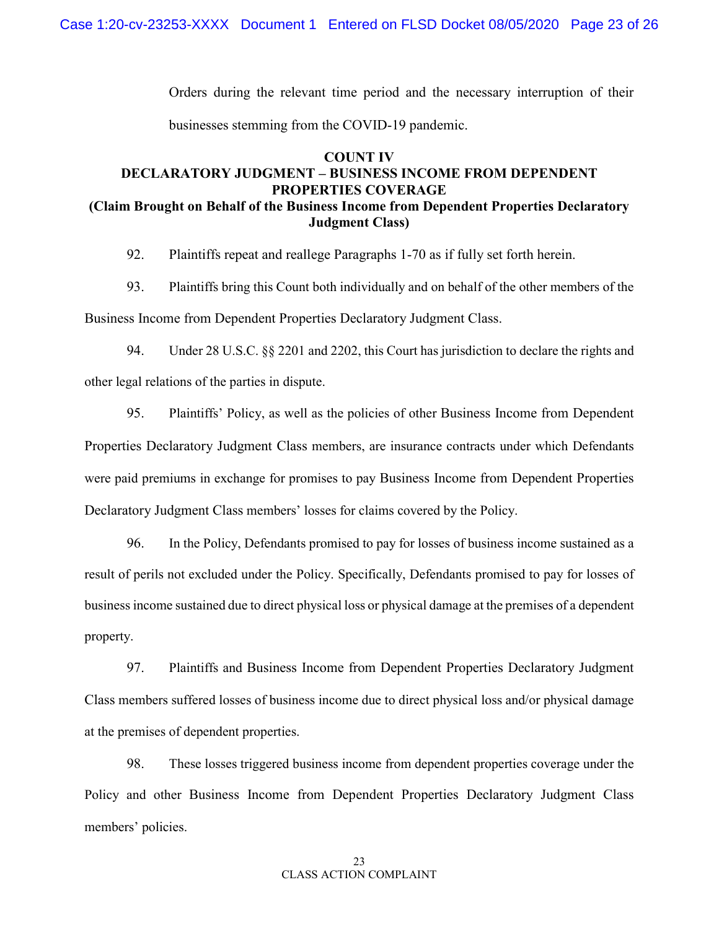Orders during the relevant time period and the necessary interruption of their businesses stemming from the COVID-19 pandemic.

# **COUNT IV DECLARATORY JUDGMENT – BUSINESS INCOME FROM DEPENDENT PROPERTIES COVERAGE (Claim Brought on Behalf of the Business Income from Dependent Properties Declaratory Judgment Class)**

92. Plaintiffs repeat and reallege Paragraphs 1-70 as if fully set forth herein.

93. Plaintiffs bring this Count both individually and on behalf of the other members of the Business Income from Dependent Properties Declaratory Judgment Class.

94. Under 28 U.S.C. §§ 2201 and 2202, this Court has jurisdiction to declare the rights and other legal relations of the parties in dispute.

95. Plaintiffs' Policy, as well as the policies of other Business Income from Dependent Properties Declaratory Judgment Class members, are insurance contracts under which Defendants were paid premiums in exchange for promises to pay Business Income from Dependent Properties Declaratory Judgment Class members' losses for claims covered by the Policy.

96. In the Policy, Defendants promised to pay for losses of business income sustained as a result of perils not excluded under the Policy. Specifically, Defendants promised to pay for losses of business income sustained due to direct physical loss or physical damage at the premises of a dependent property.

97. Plaintiffs and Business Income from Dependent Properties Declaratory Judgment Class members suffered losses of business income due to direct physical loss and/or physical damage at the premises of dependent properties.

98. These losses triggered business income from dependent properties coverage under the Policy and other Business Income from Dependent Properties Declaratory Judgment Class members' policies.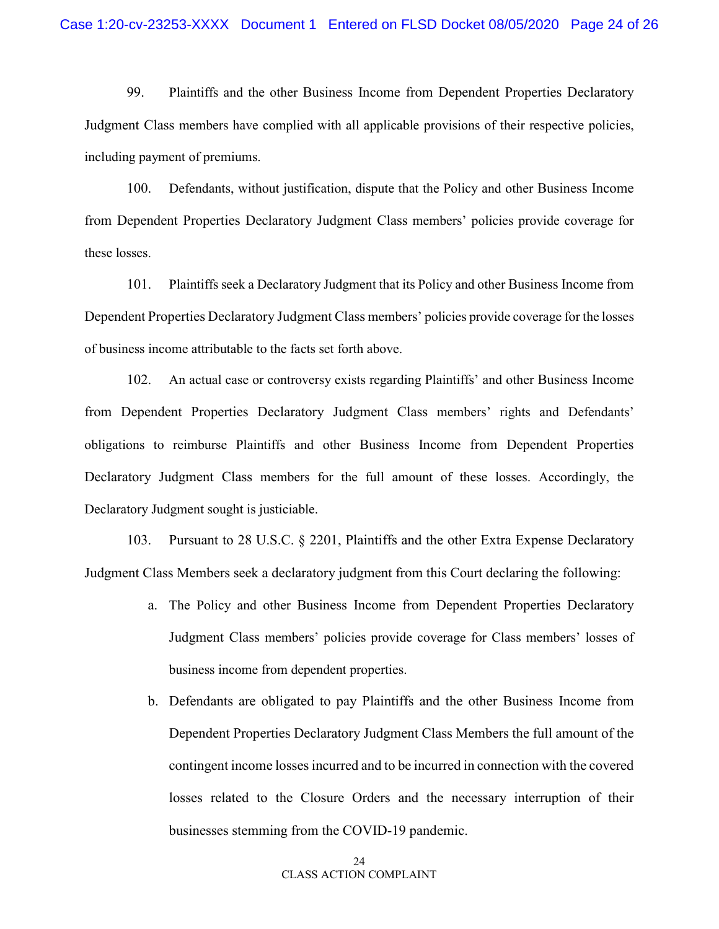99. Plaintiffs and the other Business Income from Dependent Properties Declaratory Judgment Class members have complied with all applicable provisions of their respective policies, including payment of premiums.

100. Defendants, without justification, dispute that the Policy and other Business Income from Dependent Properties Declaratory Judgment Class members' policies provide coverage for these losses.

101. Plaintiffs seek a Declaratory Judgment that its Policy and other Business Income from Dependent Properties Declaratory Judgment Class members' policies provide coverage for the losses of business income attributable to the facts set forth above.

102. An actual case or controversy exists regarding Plaintiffs' and other Business Income from Dependent Properties Declaratory Judgment Class members' rights and Defendants' obligations to reimburse Plaintiffs and other Business Income from Dependent Properties Declaratory Judgment Class members for the full amount of these losses. Accordingly, the Declaratory Judgment sought is justiciable.

103. Pursuant to 28 U.S.C. § 2201, Plaintiffs and the other Extra Expense Declaratory Judgment Class Members seek a declaratory judgment from this Court declaring the following:

- a. The Policy and other Business Income from Dependent Properties Declaratory Judgment Class members' policies provide coverage for Class members' losses of business income from dependent properties.
- b. Defendants are obligated to pay Plaintiffs and the other Business Income from Dependent Properties Declaratory Judgment Class Members the full amount of the contingent income losses incurred and to be incurred in connection with the covered losses related to the Closure Orders and the necessary interruption of their businesses stemming from the COVID-19 pandemic.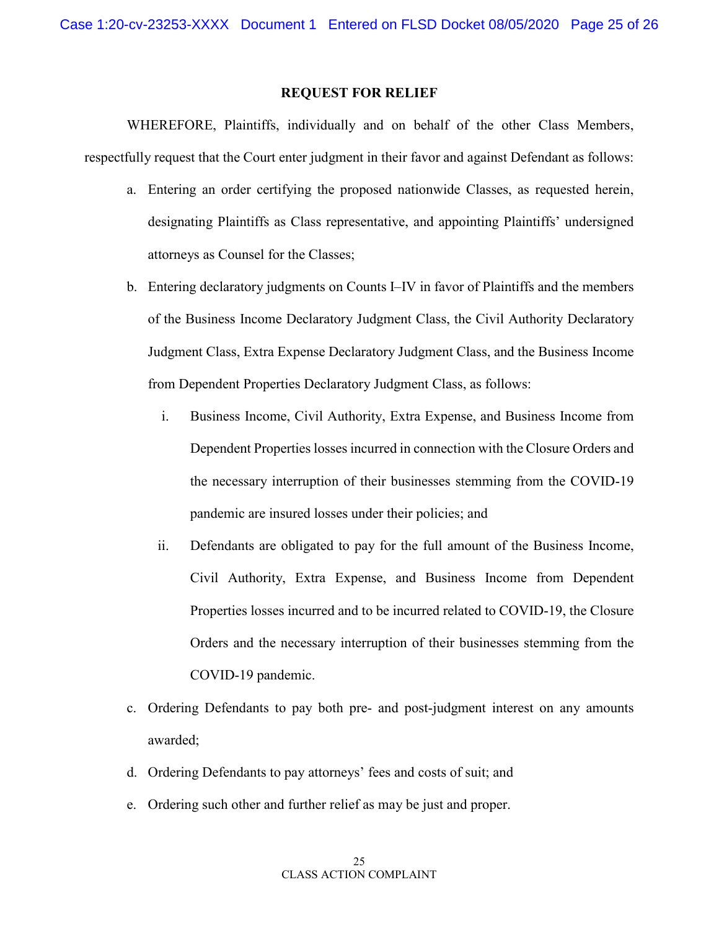#### **REQUEST FOR RELIEF**

WHEREFORE, Plaintiffs, individually and on behalf of the other Class Members, respectfully request that the Court enter judgment in their favor and against Defendant as follows:

- a. Entering an order certifying the proposed nationwide Classes, as requested herein, designating Plaintiffs as Class representative, and appointing Plaintiffs' undersigned attorneys as Counsel for the Classes;
- b. Entering declaratory judgments on Counts I–IV in favor of Plaintiffs and the members of the Business Income Declaratory Judgment Class, the Civil Authority Declaratory Judgment Class, Extra Expense Declaratory Judgment Class, and the Business Income from Dependent Properties Declaratory Judgment Class, as follows:
	- i. Business Income, Civil Authority, Extra Expense, and Business Income from Dependent Properties losses incurred in connection with the Closure Orders and the necessary interruption of their businesses stemming from the COVID-19 pandemic are insured losses under their policies; and
	- ii. Defendants are obligated to pay for the full amount of the Business Income, Civil Authority, Extra Expense, and Business Income from Dependent Properties losses incurred and to be incurred related to COVID-19, the Closure Orders and the necessary interruption of their businesses stemming from the COVID-19 pandemic.
- c. Ordering Defendants to pay both pre- and post-judgment interest on any amounts awarded;
- d. Ordering Defendants to pay attorneys' fees and costs of suit; and
- e. Ordering such other and further relief as may be just and proper.